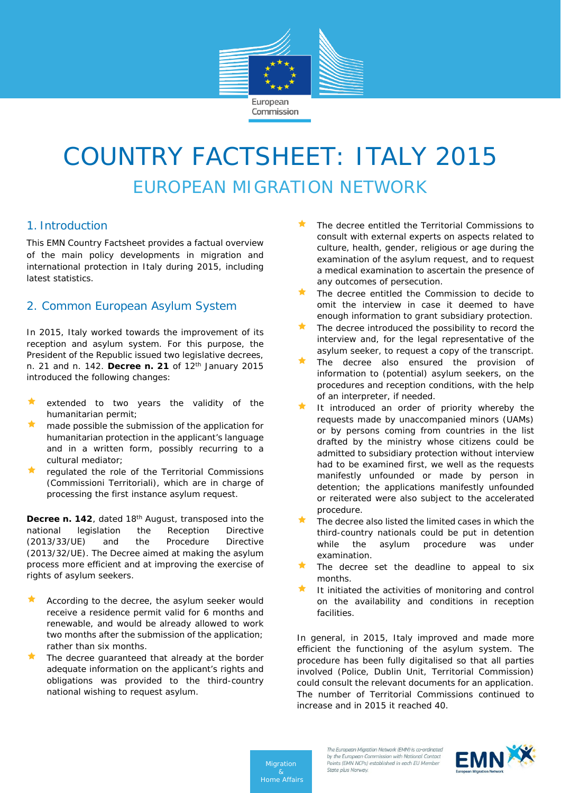

# COUNTRY FACTSHEET: ITALY 2015 EUROPEAN MIGRATION NETWORK

# 1. Introduction

This EMN Country Factsheet provides a factual overview of the main policy developments in migration and international protection in Italy during 2015, including latest statistics.

# 2. Common European Asylum System

In 2015, Italy worked towards the improvement of its reception and asylum system. For this purpose, the President of the Republic issued two legislative decrees, n. 21 and n. 142. **Decree n. 21** of 12th January 2015 introduced the following changes:

- extended to two years the validity of the humanitarian permit;
- made possible the submission of the application for humanitarian protection in the applicant's language and in a written form, possibly recurring to a cultural mediator;
- regulated the role of the Territorial Commissions (Commissioni Territoriali), which are in charge of processing the first instance asylum request.

**Decree n. 142**, dated 18th August, transposed into the national legislation the Reception Directive (2013/33/UE) and the Procedure Directive (2013/32/UE). The Decree aimed at making the asylum process more efficient and at improving the exercise of rights of asylum seekers.

- According to the decree, the asylum seeker would receive a residence permit valid for 6 months and renewable, and would be already allowed to work two months after the submission of the application; rather than six months.
- The decree guaranteed that already at the border adequate information on the applicant's rights and obligations was provided to the third-country national wishing to request asylum.
- The decree entitled the Territorial Commissions to consult with external experts on aspects related to culture, health, gender, religious or age during the examination of the asylum request, and to request a medical examination to ascertain the presence of any outcomes of persecution.
- The decree entitled the Commission to decide to omit the interview in case it deemed to have enough information to grant subsidiary protection.
- The decree introduced the possibility to record the interview and, for the legal representative of the asylum seeker, to request a copy of the transcript.
- The decree also ensured the provision of information to (potential) asylum seekers, on the procedures and reception conditions, with the help of an interpreter, if needed.
- It introduced an order of priority whereby the requests made by unaccompanied minors (UAMs) or by persons coming from countries in the list drafted by the ministry whose citizens could be admitted to subsidiary protection without interview had to be examined first, we well as the requests manifestly unfounded or made by person in detention; the applications manifestly unfounded or reiterated were also subject to the accelerated procedure.
- The decree also listed the limited cases in which the third-country nationals could be put in detention while the asylum procedure was under examination.
- The decree set the deadline to appeal to six months.
- It initiated the activities of monitoring and control on the availability and conditions in reception facilities.

In general, in 2015, Italy improved and made more efficient the functioning of the asylum system. The procedure has been fully digitalised so that all parties involved (Police, Dublin Unit, Territorial Commission) could consult the relevant documents for an application. The number of Territorial Commissions continued to increase and in 2015 it reached 40.

*Migration Home Affairs*

The European Migration Network (EMN) is co-ordinated by the European Commission with National Contact Points (FMN NCPs) established in each FU Member State plus Norway.

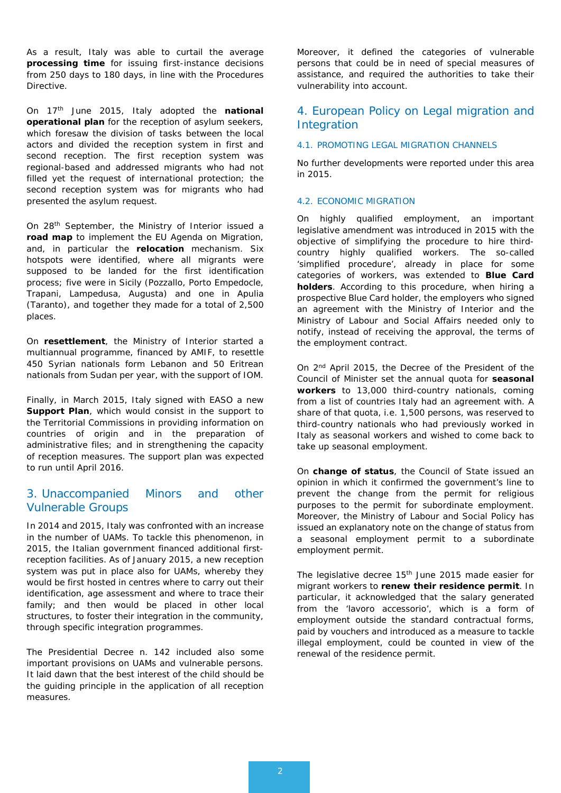As a result, Italy was able to curtail the average **processing time** for issuing first-instance decisions from 250 days to 180 days, in line with the Procedures Directive.

On 17th June 2015, Italy adopted the **national operational plan** for the reception of asylum seekers, which foresaw the division of tasks between the local actors and divided the reception system in first and second reception. The first reception system was regional-based and addressed migrants who had not filled yet the request of international protection; the second reception system was for migrants who had presented the asylum request.

On 28th September, the Ministry of Interior issued a **road map** to implement the EU Agenda on Migration, and, in particular the **relocation** mechanism. Six hotspots were identified, where all migrants were supposed to be landed for the first identification process; five were in Sicily (Pozzallo, Porto Empedocle, Trapani, Lampedusa, Augusta) and one in Apulia (Taranto), and together they made for a total of 2,500 places.

On **resettlement**, the Ministry of Interior started a multiannual programme, financed by AMIF, to resettle 450 Syrian nationals form Lebanon and 50 Eritrean nationals from Sudan per year, with the support of IOM.

Finally, in March 2015, Italy signed with EASO a new **Support Plan**, which would consist in the support to the Territorial Commissions in providing information on countries of origin and in the preparation of administrative files; and in strengthening the capacity of reception measures. The support plan was expected to run until April 2016.

# 3. Unaccompanied Minors and other Vulnerable Groups

In 2014 and 2015, Italy was confronted with an increase in the number of UAMs. To tackle this phenomenon, in 2015, the Italian government financed additional firstreception facilities. As of January 2015, a new reception system was put in place also for UAMs, whereby they would be first hosted in centres where to carry out their identification, age assessment and where to trace their family; and then would be placed in other local structures, to foster their integration in the community, through specific integration programmes.

The Presidential Decree n. 142 included also some important provisions on UAMs and vulnerable persons. It laid dawn that the best interest of the child should be the guiding principle in the application of all reception measures.

Moreover, it defined the categories of vulnerable persons that could be in need of special measures of assistance, and required the authorities to take their vulnerability into account.

# 4. European Policy on Legal migration and Integration

#### 4.1. PROMOTING LEGAL MIGRATION CHANNELS

No further developments were reported under this area in 2015.

#### 4.2. ECONOMIC MIGRATION

On highly qualified employment, an important legislative amendment was introduced in 2015 with the objective of simplifying the procedure to hire thirdcountry highly qualified workers. The so-called 'simplified procedure', already in place for some categories of workers, was extended to **Blue Card holders**. According to this procedure, when hiring a prospective Blue Card holder, the employers who signed an agreement with the Ministry of Interior and the Ministry of Labour and Social Affairs needed only to notify, instead of receiving the approval, the terms of the employment contract.

On 2nd April 2015, the Decree of the President of the Council of Minister set the annual quota for **seasonal workers** to 13,000 third-country nationals, coming from a list of countries Italy had an agreement with. A share of that quota, i.e. 1,500 persons, was reserved to third-country nationals who had previously worked in Italy as seasonal workers and wished to come back to take up seasonal employment.

On **change of status**, the Council of State issued an opinion in which it confirmed the government's line to prevent the change from the permit for religious purposes to the permit for subordinate employment. Moreover, the Ministry of Labour and Social Policy has issued an explanatory note on the change of status from a seasonal employment permit to a subordinate employment permit.

The legislative decree 15<sup>th</sup> June 2015 made easier for migrant workers to **renew their residence permit**. In particular, it acknowledged that the salary generated from the 'lavoro accessorio', which is a form of employment outside the standard contractual forms, paid by vouchers and introduced as a measure to tackle illegal employment, could be counted in view of the renewal of the residence permit.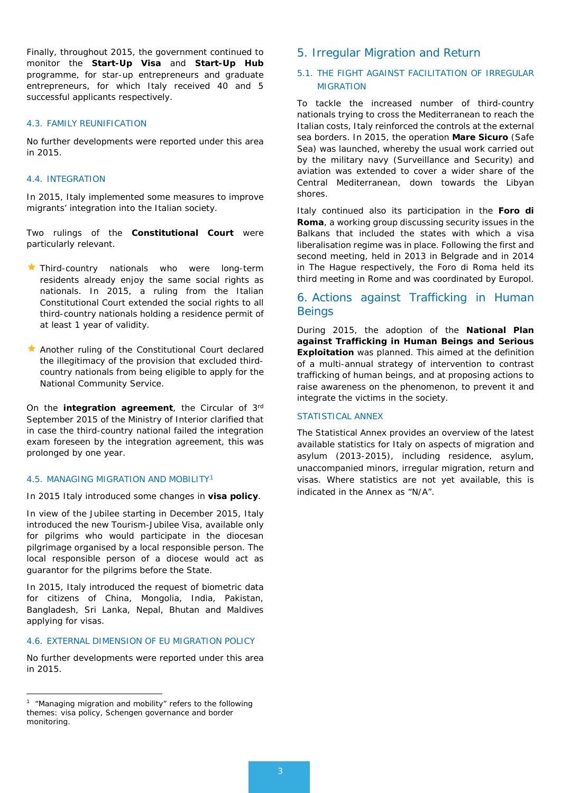Finally, throughout 2015, the government continued to monitor the **Start-Up Visa** and **Start-Up Hub** programme, for star-up entrepreneurs and graduate entrepreneurs, for which Italy received 40 and 5 successful applicants respectively.

#### 4.3. FAMILY REUNIFICATION

No further developments were reported under this area in 2015.

#### 4.4. INTEGRATION

In 2015, Italy implemented some measures to improve migrants' integration into the Italian society.

Two rulings of the **Constitutional Court** were particularly relevant.

- Third-country nationals who were long-term residents already enjoy the same social rights as nationals. In 2015, a ruling from the Italian Constitutional Court extended the social rights to all third-country nationals holding a residence permit of at least 1 year of validity.
- Another ruling of the Constitutional Court declared the illegitimacy of the provision that excluded thirdcountry nationals from being eligible to apply for the National Community Service.

On the **integration agreement**, the Circular of 3rd September 2015 of the Ministry of Interior clarified that in case the third-country national failed the integration exam foreseen by the integration agreement, this was prolonged by one year.

#### 4.5. MANAGING MIGRATION AND MOBILITY[1](#page-2-0)

In 2015 Italy introduced some changes in **visa policy**.

In view of the Jubilee starting in December 2015, Italy introduced the new Tourism-Jubilee Visa, available only for pilgrims who would participate in the diocesan pilgrimage organised by a local responsible person. The local responsible person of a diocese would act as guarantor for the pilgrims before the State.

In 2015, Italy introduced the request of biometric data for citizens of China, Mongolia, India, Pakistan, Bangladesh, Sri Lanka, Nepal, Bhutan and Maldives applying for visas.

## 4.6. EXTERNAL DIMENSION OF EU MIGRATION POLICY

No further developments were reported under this area in 2015.

 $\overline{a}$ 

## 5. Irregular Migration and Return

## 5.1. THE FIGHT AGAINST FACILITATION OF IRREGULAR **MIGRATION**

To tackle the increased number of third-country nationals trying to cross the Mediterranean to reach the Italian costs, Italy reinforced the controls at the external sea borders. In 2015, the operation **Mare Sicuro** (Safe Sea) was launched, whereby the usual work carried out by the military navy (Surveillance and Security) and aviation was extended to cover a wider share of the Central Mediterranean, down towards the Libyan shores.

Italy continued also its participation in the **Foro di Roma**, a working group discussing security issues in the Balkans that included the states with which a visa liberalisation regime was in place. Following the first and second meeting, held in 2013 in Belgrade and in 2014 in The Hague respectively, the Foro di Roma held its third meeting in Rome and was coordinated by Europol.

# 6. Actions against Trafficking in Human **Beings**

During 2015, the adoption of the **National Plan against Trafficking in Human Beings and Serious Exploitation** was planned. This aimed at the definition of a multi-annual strategy of intervention to contrast trafficking of human beings, and at proposing actions to raise awareness on the phenomenon, to prevent it and integrate the victims in the society.

## STATISTICAL ANNEX

The Statistical Annex provides an overview of the latest available statistics for Italy on aspects of migration and asylum (2013-2015), including residence, asylum, unaccompanied minors, irregular migration, return and visas. Where statistics are not yet available, this is indicated in the Annex as "N/A".

<span id="page-2-0"></span> $1$  "Managing migration and mobility" refers to the following themes: visa policy, Schengen governance and border monitoring.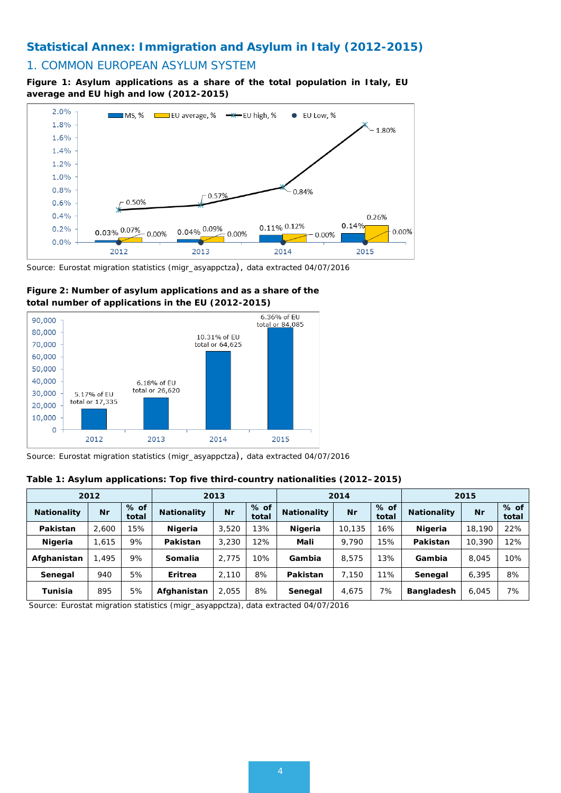# **Statistical Annex: Immigration and Asylum in Italy (2012-2015)**

## 1. COMMON EUROPEAN ASYLUM SYSTEM

**Figure 1: Asylum applications as a share of the total population in Italy, EU average and EU high and low (2012-2015)**



*Source: Eurostat migration statistics (migr\_asyappctza), data extracted 04/07/2016*





*Source: Eurostat migration statistics (migr\_asyappctza), data extracted 04/07/2016*

## **Table 1: Asylum applications: Top five third-country nationalities (2012–2015)**

|                    | 2012  |                 |                    | 2013  |                 |                    | 2014      |                 |                    | 2015   |                 |
|--------------------|-------|-----------------|--------------------|-------|-----------------|--------------------|-----------|-----------------|--------------------|--------|-----------------|
| <b>Nationality</b> | Nr    | $%$ of<br>total | <b>Nationality</b> | Nr    | $%$ of<br>total | <b>Nationality</b> | <b>Nr</b> | $%$ of<br>total | <b>Nationality</b> | Nr     | $%$ of<br>total |
| Pakistan           | 2.600 | 15%             | Nigeria            | 3,520 | 13%             | Nigeria            | 10.135    | 16%             | Nigeria            | 18,190 | 22%             |
| Nigeria            | .615  | 9%              | Pakistan           | 3,230 | 12%             | Mali               | 9.790     | 15%             | Pakistan           | 10,390 | 12%             |
| Afghanistan        | 495   | 9%              | Somalia            | 2.775 | 10%             | Gambia             | 8.575     | 3%              | Gambia             | 8,045  | 10%             |
| Senegal            | 940   | 5%              | Eritrea            | 2.110 | 8%              | Pakistan           | 7.150     | 11%             | Senegal            | 6,395  | 8%              |
| Tunisia            | 895   | 5%              | Afghanistan        | 2.055 | 8%              | Senegal            | 4.675     | 7%              | <b>Bangladesh</b>  | 6,045  | 7%              |

*Source: Eurostat migration statistics (migr\_asyappctza), data extracted 04/07/2016*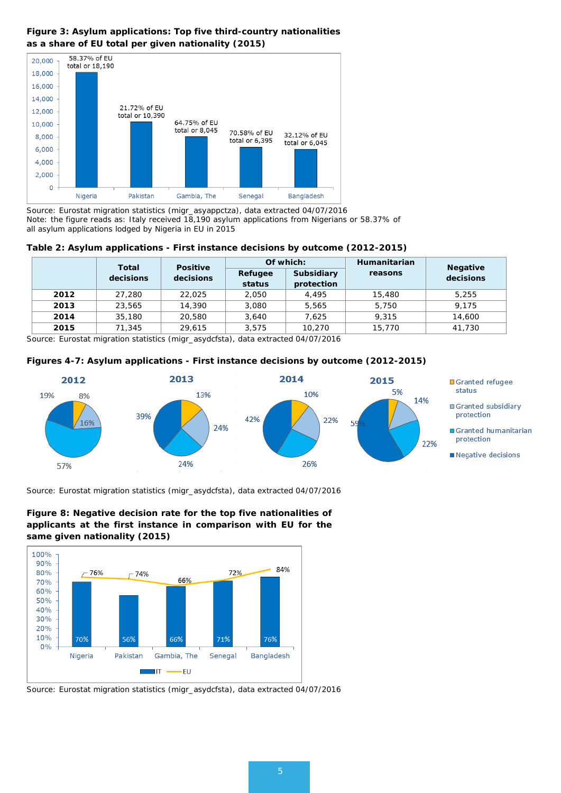## **Figure 3: Asylum applications: Top five third-country nationalities as a share of EU total per given nationality (2015)**



*Source: Eurostat migration statistics (migr\_asyappctza), data extracted 04/07/2016 Note: the figure reads as: Italy received 18,190 asylum applications from Nigerians or 58.37% of all asylum applications lodged by Nigeria in EU in 2015*

#### **Table 2: Asylum applications - First instance decisions by outcome (2012-2015)**

|      |           | Total<br><b>Positive</b> |                   | Of which:                | Humanitarian |                              |
|------|-----------|--------------------------|-------------------|--------------------------|--------------|------------------------------|
|      | decisions | decisions                | Refugee<br>status | Subsidiary<br>protection | reasons      | <b>Negative</b><br>decisions |
| 2012 | 27,280    | 22.025                   | 2.050             | 4.495                    | 15,480       | 5,255                        |
| 2013 | 23,565    | 14,390                   | 3,080             | 5.565                    | 5,750        | 9.175                        |
| 2014 | 35,180    | 20,580                   | 3.640             | 7.625                    | 9.315        | 14,600                       |
| 2015 | 71,345    | 29.615                   | 3.575             | 10,270                   | 15,770       | 41.730                       |

*Source: Eurostat migration statistics (migr\_asydcfsta), data extracted 04/07/2016* 





*Source: Eurostat migration statistics (migr\_asydcfsta), data extracted 04/07/2016*





*Source: Eurostat migration statistics (migr\_asydcfsta), data extracted 04/07/2016*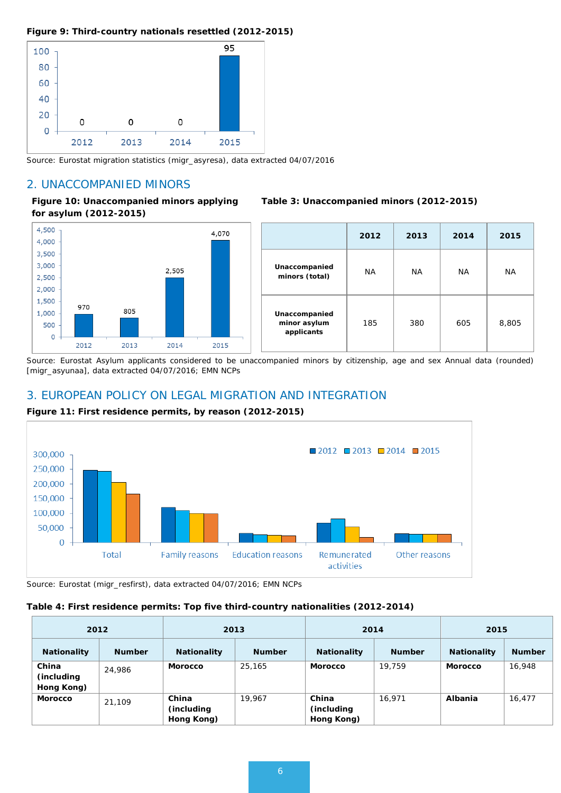#### **Figure 9: Third-country nationals resettled (2012-2015)**



*Source: Eurostat migration statistics (migr\_asyresa), data extracted 04/07/2016*

# 2. UNACCOMPANIED MINORS

#### **Figure 10: Unaccompanied minors applying for asylum (2012-2015)**



|                                             | 2012 | 2013      | 2014 | 2015  |
|---------------------------------------------|------|-----------|------|-------|
| Unaccompanied<br>minors (total)             | ΝA   | <b>NA</b> | NA   | ΝA    |
| Unaccompanied<br>minor asylum<br>applicants | 185  | 380       | 605  | 8,805 |

**Table 3: Unaccompanied minors (2012-2015)**

*Source: Eurostat Asylum applicants considered to be unaccompanied minors by citizenship, age and sex Annual data (rounded) [migr\_asyunaa], data extracted 04/07/2016; EMN NCPs*

# 3. EUROPEAN POLICY ON LEGAL MIGRATION AND INTEGRATION



## **Figure 11: First residence permits, by reason (2012-2015)**

*Source: Eurostat (migr\_resfirst), data extracted 04/07/2016; EMN NCPs*

#### **Table 4: First residence permits: Top five third-country nationalities (2012-2014)**

|                                    | 2012          | 2013                               |               |                                    | 2014<br>2015  |                    |               |
|------------------------------------|---------------|------------------------------------|---------------|------------------------------------|---------------|--------------------|---------------|
| <b>Nationality</b>                 | <b>Number</b> | <b>Nationality</b>                 | <b>Number</b> | <b>Nationality</b>                 | <b>Number</b> | <b>Nationality</b> | <b>Number</b> |
| China<br>(including)<br>Hong Kong) | 24,986        | <b>Morocco</b>                     | 25,165        | <b>Morocco</b>                     | 19.759        | <b>Morocco</b>     | 16,948        |
| <b>Morocco</b>                     | 21,109        | China<br>(including)<br>Hong Kong) | 19.967        | China<br>(including)<br>Hong Kong) | 16.971        | <b>Albania</b>     | 16,477        |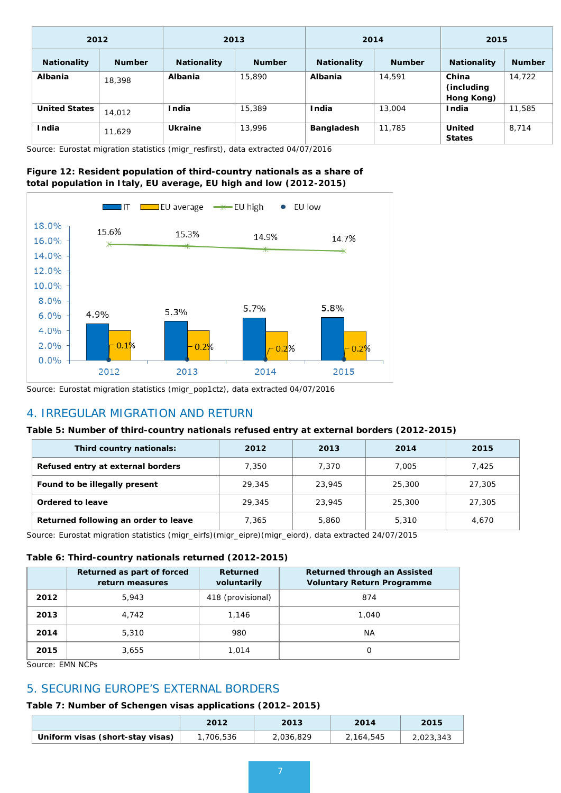| 2012                 |               | 2013               |               |                    | 2014          | 2015                               |               |
|----------------------|---------------|--------------------|---------------|--------------------|---------------|------------------------------------|---------------|
| <b>Nationality</b>   | <b>Number</b> | <b>Nationality</b> | <b>Number</b> | <b>Nationality</b> | <b>Number</b> | <b>Nationality</b>                 | <b>Number</b> |
| <b>Albania</b>       | 18,398        | Albania            | 15,890        | Albania            | 14,591        | China<br>(including)<br>Hong Kong) | 14,722        |
| <b>United States</b> | 14,012        | <b>India</b>       | 15,389        | <b>India</b>       | 13,004        | <b>India</b>                       | 11,585        |
| <b>India</b>         | 11,629        | <b>Ukraine</b>     | 13,996        | <b>Bangladesh</b>  | 11,785        | <b>United</b><br><b>States</b>     | 8,714         |

*Source: Eurostat migration statistics (migr\_resfirst), data extracted 04/07/2016*

## **Figure 12: Resident population of third-country nationals as a share of total population in Italy, EU average, EU high and low (2012-2015)**



*Source: Eurostat migration statistics (migr\_pop1ctz), data extracted 04/07/2016*

# 4. IRREGULAR MIGRATION AND RETURN

#### **Table 5: Number of third-country nationals refused entry at external borders (2012-2015)**

| Third country nationals:             | 2012   | 2013   | 2014   | 2015   |
|--------------------------------------|--------|--------|--------|--------|
| Refused entry at external borders    | 7.350  | 7.370  | 7.005  | 7.425  |
| Found to be illegally present        | 29,345 | 23,945 | 25,300 | 27,305 |
| Ordered to leave                     | 29,345 | 23,945 | 25,300 | 27,305 |
| Returned following an order to leave | 7,365  | 5,860  | 5,310  | 4.670  |

*Source: Eurostat migration statistics (migr\_eirfs)(migr\_eipre)(migr\_eiord), data extracted 24/07/2015*

#### **Table 6: Third-country nationals returned (2012-2015)**

|      | Returned as part of forced<br>return measures | <b>Returned</b><br>voluntarily | Returned through an Assisted<br><b>Voluntary Return Programme</b> |
|------|-----------------------------------------------|--------------------------------|-------------------------------------------------------------------|
| 2012 | 5,943                                         | 418 (provisional)              | 874                                                               |
| 2013 | 4,742                                         | 1,146                          | 1.040                                                             |
| 2014 | 5,310                                         | 980                            | NA                                                                |
| 2015 | 3.655                                         | 1.014                          |                                                                   |

*Source: EMN NCPs*

# 5. SECURING EUROPE'S EXTERNAL BORDERS

#### **Table 7: Number of Schengen visas applications (2012–2015)**

|                                  | 2012     | 2013      | 2014      | 2015      |
|----------------------------------|----------|-----------|-----------|-----------|
| Uniform visas (short-stay visas) | ,706,536 | 2,036,829 | 2,164,545 | 2,023,343 |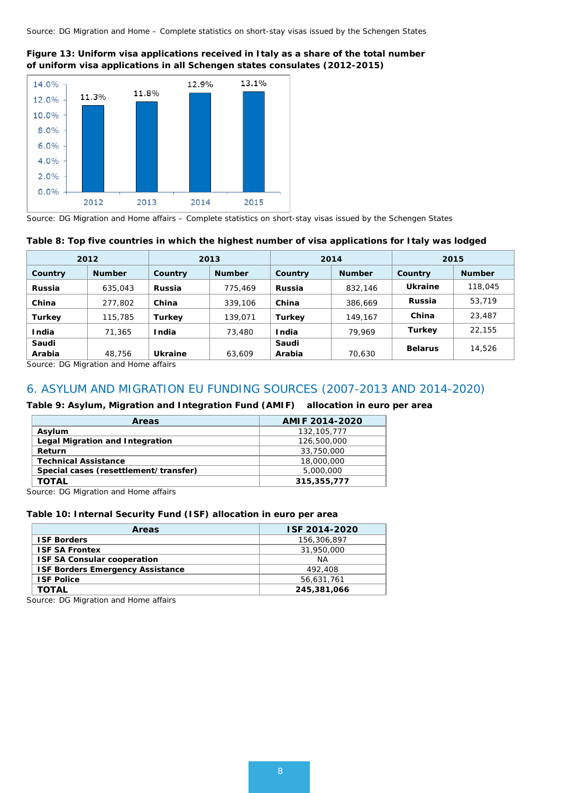

**Figure 13: Uniform visa applications received in Italy as a share of the total number of uniform visa applications in all Schengen states consulates (2012-2015)**

*Source: DG Migration and Home affairs – Complete statistics on short-stay visas issued by the Schengen States*

#### **Table 8: Top five countries in which the highest number of visa applications for Italy was lodged**

|               | 2012          |                | 2013          |               | 2014<br>2015  |                |               |
|---------------|---------------|----------------|---------------|---------------|---------------|----------------|---------------|
| Country       | <b>Number</b> | Country        | <b>Number</b> | Country       | <b>Number</b> | Country        | <b>Number</b> |
| <b>Russia</b> | 635,043       | Russia         | 775,469       | <b>Russia</b> | 832,146       | Ukraine        | 118,045       |
| China         | 277,802       | China          | 339,106       | China         | 386,669       | <b>Russia</b>  | 53,719        |
| <b>Turkey</b> | 115,785       | <b>Turkey</b>  | 139,071       | <b>Turkey</b> | 149.167       | China          | 23,487        |
| India         | 71,365        | <b>India</b>   | 73,480        | India         | 79.969        | <b>Turkey</b>  | 22.155        |
| Saudi         |               |                |               | Saudi         |               | <b>Belarus</b> | 14,526        |
| Arabia        | 48,756        | <b>Ukraine</b> | 63,609        | Arabia        | 70,630        |                |               |

*Source: DG Migration and Home affairs*

## 6. ASYLUM AND MIGRATION EU FUNDING SOURCES (2007-2013 AND 2014-2020)

#### **Table 9: Asylum, Migration and Integration Fund (AMIF) allocation in euro per area**

| <b>Areas</b>                          | AMIF 2014-2020 |
|---------------------------------------|----------------|
| Asylum                                | 132, 105, 777  |
| Legal Migration and Integration       | 126,500,000    |
| Return                                | 33,750,000     |
| <b>Technical Assistance</b>           | 18,000,000     |
| Special cases (resettlement/transfer) | 5,000,000      |
| TOTAL                                 | 315, 355, 777  |

*Source: DG Migration and Home affairs*

#### **Table 10: Internal Security Fund (ISF) allocation in euro per area**

| <b>Areas</b>                            | ISF 2014-2020 |
|-----------------------------------------|---------------|
| <b>ISF Borders</b>                      | 156,306,897   |
| <b>ISF SA Frontex</b>                   | 31,950,000    |
| <b>ISF SA Consular cooperation</b>      | <b>NA</b>     |
| <b>ISF Borders Emergency Assistance</b> | 492,408       |
| <b>ISF Police</b>                       | 56,631,761    |
| TOTAL                                   | 245,381,066   |

*Source: DG Migration and Home affairs*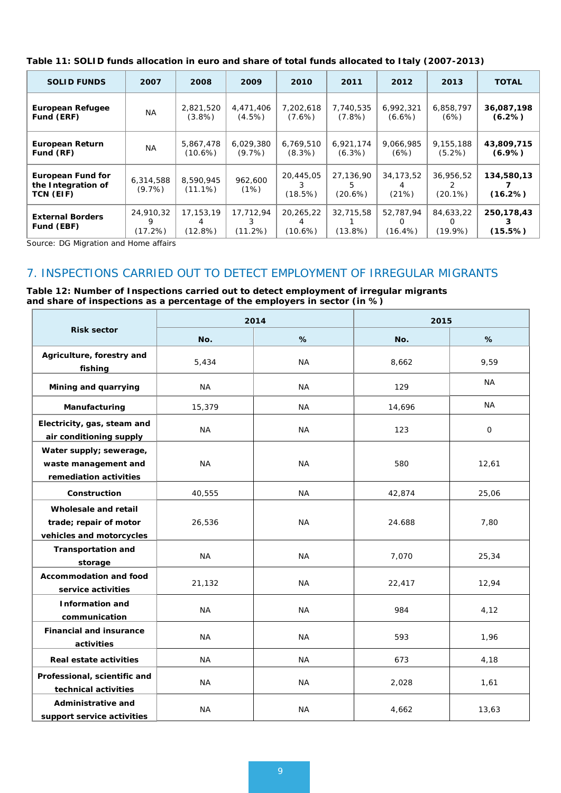| <b>SOLID FUNDS</b>                                          | 2007                      | 2008                         | 2009                   | 2010                         | 2011                      | 2012                         | 2013                         | <b>TOTAL</b>            |
|-------------------------------------------------------------|---------------------------|------------------------------|------------------------|------------------------------|---------------------------|------------------------------|------------------------------|-------------------------|
| <b>European Refugee</b><br>Fund (ERF)                       | ΝA                        | 2,821,520<br>$(3.8\%)$       | 4,471,406<br>$(4.5\%)$ | 7,202,618<br>$(7.6\%)$       | 7,740,535<br>(7.8%)       | 6,992,321<br>$(6.6\%)$       | 6,858,797<br>(6%)            | 36,087,198<br>$(6.2\%)$ |
| <b>European Return</b><br>Fund (RF)                         | ΝA                        | 5,867,478<br>$(10.6\%)$      | 6,029,380<br>$(9.7\%)$ | 6,769,510<br>$(8.3\%)$       | 6,921,174<br>(6.3%)       | 9,066,985<br>(6%)            | 9,155,188<br>$(5.2\%)$       | 43,809,715<br>$(6.9\%)$ |
| <b>European Fund for</b><br>the Integration of<br>TCN (EIF) | 6,314,588<br>$(9.7\%)$    | 8,590,945<br>$(11.1\%)$      | 962,600<br>(1%)        | 20,445,05<br>(18.5%)         | 27,136,90<br>5<br>(20.6%) | 34, 173, 52<br>(21%)         | 36,956,52<br>$(20.1\%)$      | 134,580,13<br>(16.2%)   |
| <b>External Borders</b><br>Fund (EBF)                       | 24,910,32<br>9<br>(17.2%) | 17,153,19<br>4<br>$(12.8\%)$ | 17,712,94<br>(11.2%)   | 20,265,22<br>4<br>$(10.6\%)$ | 32,715,58<br>$(13.8\%)$   | 52,787,94<br>O<br>$(16.4\%)$ | 84,633,22<br>O<br>$(19.9\%)$ | 250,178,43<br>(15.5%)   |

**Table 11: SOLID funds allocation in euro and share of total funds allocated to Italy (2007-2013)**

*Source: DG Migration and Home affairs*

# 7. INSPECTIONS CARRIED OUT TO DETECT EMPLOYMENT OF IRREGULAR MIGRANTS

**Table 12: Number of Inspections carried out to detect employment of irregular migrants and share of inspections as a percentage of the employers in sector (in %)**

|                                                                            | 2014      |           | 2015   |              |
|----------------------------------------------------------------------------|-----------|-----------|--------|--------------|
| <b>Risk sector</b>                                                         | No.       | %         | No.    | %            |
| Agriculture, forestry and<br>fishing                                       | 5,434     | <b>NA</b> | 8,662  | 9,59         |
| Mining and quarrying                                                       | NA        | <b>NA</b> | 129    | <b>NA</b>    |
| Manufacturing                                                              | 15,379    | <b>NA</b> | 14,696 | ΝA           |
| Electricity, gas, steam and<br>air conditioning supply                     | <b>NA</b> | <b>NA</b> | 123    | $\mathbf{O}$ |
| Water supply; sewerage,<br>waste management and<br>remediation activities  | <b>NA</b> | <b>NA</b> | 580    | 12,61        |
| Construction                                                               | 40,555    | <b>NA</b> | 42,874 | 25,06        |
| Wholesale and retail<br>trade; repair of motor<br>vehicles and motorcycles | 26,536    | <b>NA</b> | 24.688 | 7,80         |
| <b>Transportation and</b><br>storage                                       | <b>NA</b> | <b>NA</b> | 7,070  | 25,34        |
| <b>Accommodation and food</b><br>service activities                        | 21,132    | <b>NA</b> | 22,417 | 12,94        |
| <b>Information and</b><br>communication                                    | <b>NA</b> | ΝA        | 984    | 4,12         |
| <b>Financial and insurance</b><br>activities                               | <b>NA</b> | <b>NA</b> | 593    | 1,96         |
| Real estate activities                                                     | <b>NA</b> | <b>NA</b> | 673    | 4,18         |
| Professional, scientific and<br>technical activities                       | <b>NA</b> | <b>NA</b> | 2,028  | 1,61         |
| Administrative and<br>support service activities                           | <b>NA</b> | <b>NA</b> | 4,662  | 13,63        |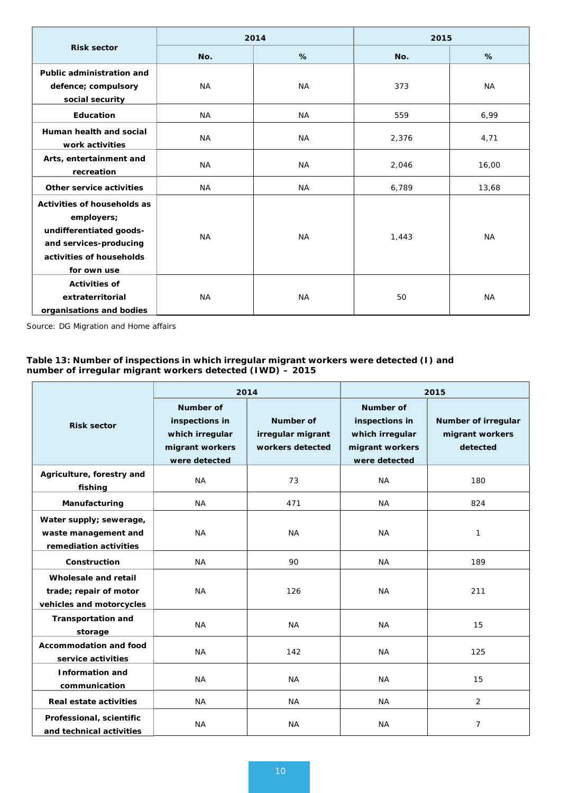| <b>Risk sector</b>                                                                                                                        | 2014      |           | 2015  |           |
|-------------------------------------------------------------------------------------------------------------------------------------------|-----------|-----------|-------|-----------|
|                                                                                                                                           | No.       | $\%$      | No.   | %         |
| Public administration and<br>defence; compulsory<br>social security                                                                       | <b>NA</b> | <b>NA</b> | 373   | <b>NA</b> |
| <b>Education</b>                                                                                                                          | <b>NA</b> | <b>NA</b> | 559   | 6,99      |
| Human health and social<br>work activities                                                                                                | <b>NA</b> | <b>NA</b> | 2,376 | 4,71      |
| Arts, entertainment and<br>recreation                                                                                                     | <b>NA</b> | <b>NA</b> | 2,046 | 16,00     |
| Other service activities                                                                                                                  | <b>NA</b> | <b>NA</b> | 6,789 | 13,68     |
| Activities of households as<br>employers;<br>undifferentiated goods-<br>and services-producing<br>activities of households<br>for own use | <b>NA</b> | <b>NA</b> | 1,443 | <b>NA</b> |
| <b>Activities of</b><br>extraterritorial<br>organisations and bodies                                                                      | <b>NA</b> | <b>NA</b> | 50    | <b>NA</b> |

*Source: DG Migration and Home affairs*

#### **Table 13: Number of inspections in which irregular migrant workers were detected (I) and number of irregular migrant workers detected (IWD) – 2015**

| <b>Risk sector</b>                                                         | 2014                                                                                      |                                                    | 2015                                                                                      |                                                    |
|----------------------------------------------------------------------------|-------------------------------------------------------------------------------------------|----------------------------------------------------|-------------------------------------------------------------------------------------------|----------------------------------------------------|
|                                                                            | <b>Number of</b><br>inspections in<br>which irregular<br>migrant workers<br>were detected | Number of<br>irregular migrant<br>workers detected | <b>Number of</b><br>inspections in<br>which irregular<br>migrant workers<br>were detected | Number of irregular<br>migrant workers<br>detected |
| Agriculture, forestry and<br>fishing                                       | <b>NA</b>                                                                                 | 73                                                 | <b>NA</b>                                                                                 | 180                                                |
| Manufacturing                                                              | <b>NA</b>                                                                                 | 471                                                | <b>NA</b>                                                                                 | 824                                                |
| Water supply; sewerage,<br>waste management and<br>remediation activities  | <b>NA</b>                                                                                 | <b>NA</b>                                          | <b>NA</b>                                                                                 | 1                                                  |
| Construction                                                               | <b>NA</b>                                                                                 | 90                                                 | <b>NA</b>                                                                                 | 189                                                |
| Wholesale and retail<br>trade; repair of motor<br>vehicles and motorcycles | <b>NA</b>                                                                                 | 126                                                | <b>NA</b>                                                                                 | 211                                                |
| <b>Transportation and</b><br>storage                                       | <b>NA</b>                                                                                 | <b>NA</b>                                          | <b>NA</b>                                                                                 | 15                                                 |
| Accommodation and food<br>service activities                               | <b>NA</b>                                                                                 | 142                                                | <b>NA</b>                                                                                 | 125                                                |
| <b>Information and</b><br>communication                                    | <b>NA</b>                                                                                 | <b>NA</b>                                          | NA                                                                                        | 15                                                 |
| Real estate activities                                                     | <b>NA</b>                                                                                 | ΝA                                                 | ΝA                                                                                        | $\overline{2}$                                     |
| Professional, scientific<br>and technical activities                       | <b>NA</b>                                                                                 | <b>NA</b>                                          | ΝA                                                                                        | $\overline{7}$                                     |